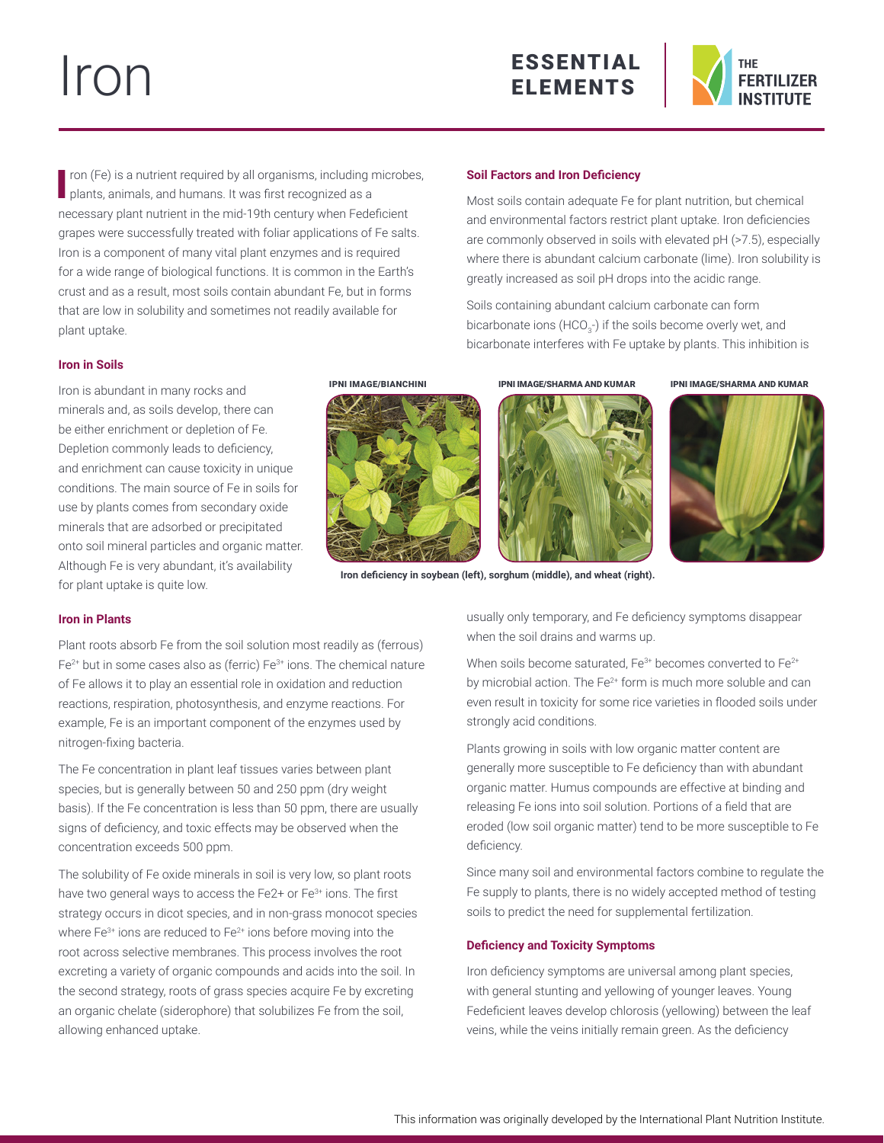# Iron





I ron (Fe) is a nutrient required by all organisms, including replants, animals, and humans. It was first recognized as a ron (Fe) is a nutrient required by all organisms, including microbes, necessary plant nutrient in the mid-19th century when Fedeficient grapes were successfully treated with foliar applications of Fe salts. Iron is a component of many vital plant enzymes and is required for a wide range of biological functions. It is common in the Earth's crust and as a result, most soils contain abundant Fe, but in forms that are low in solubility and sometimes not readily available for plant uptake.

### **Iron in Soils**

Iron is abundant in many rocks and minerals and, as soils develop, there can be either enrichment or depletion of Fe. Depletion commonly leads to deficiency, and enrichment can cause toxicity in unique conditions. The main source of Fe in soils for use by plants comes from secondary oxide minerals that are adsorbed or precipitated onto soil mineral particles and organic matter. Although Fe is very abundant, it's availability for plant uptake is quite low.





**Iron deficiency in soybean (left), sorghum (middle), and wheat (right).**

# **Iron in Plants**

Plant roots absorb Fe from the soil solution most readily as (ferrous)  $Fe<sup>2+</sup>$  but in some cases also as (ferric)  $Fe<sup>3+</sup>$  ions. The chemical nature of Fe allows it to play an essential role in oxidation and reduction reactions, respiration, photosynthesis, and enzyme reactions. For example, Fe is an important component of the enzymes used by nitrogen-fixing bacteria.

The Fe concentration in plant leaf tissues varies between plant species, but is generally between 50 and 250 ppm (dry weight basis). If the Fe concentration is less than 50 ppm, there are usually signs of deficiency, and toxic effects may be observed when the concentration exceeds 500 ppm.

The solubility of Fe oxide minerals in soil is very low, so plant roots have two general ways to access the Fe2+ or Fe<sup>3+</sup> ions. The first strategy occurs in dicot species, and in non-grass monocot species where  $Fe^{3+}$  ions are reduced to  $Fe^{2+}$  ions before moving into the root across selective membranes. This process involves the root excreting a variety of organic compounds and acids into the soil. In the second strategy, roots of grass species acquire Fe by excreting an organic chelate (siderophore) that solubilizes Fe from the soil, allowing enhanced uptake.

### **Soil Factors and Iron Deficiency**

Most soils contain adequate Fe for plant nutrition, but chemical and environmental factors restrict plant uptake. Iron deficiencies are commonly observed in soils with elevated pH (>7.5), especially where there is abundant calcium carbonate (lime). Iron solubility is greatly increased as soil pH drops into the acidic range.

Soils containing abundant calcium carbonate can form bicarbonate ions (HCO $_{\scriptscriptstyle 3}$ -) if the soils become overly wet, and bicarbonate interferes with Fe uptake by plants. This inhibition is

IPNI IMAGE/BIANCHINI IPNI IMAGE/SHARMA AND KUMAR IPNI IMAGE/SHARMA AND KUMAR





usually only temporary, and Fe deficiency symptoms disappear when the soil drains and warms up.

When soils become saturated. Fe $3+$  becomes converted to Fe $2+$ by microbial action. The Fe<sup>2+</sup> form is much more soluble and can even result in toxicity for some rice varieties in flooded soils under strongly acid conditions.

Plants growing in soils with low organic matter content are generally more susceptible to Fe deficiency than with abundant organic matter. Humus compounds are effective at binding and releasing Fe ions into soil solution. Portions of a field that are eroded (low soil organic matter) tend to be more susceptible to Fe deficiency.

Since many soil and environmental factors combine to regulate the Fe supply to plants, there is no widely accepted method of testing soils to predict the need for supplemental fertilization.

### **Deficiency and Toxicity Symptoms**

Iron deficiency symptoms are universal among plant species, with general stunting and yellowing of younger leaves. Young Fedeficient leaves develop chlorosis (yellowing) between the leaf veins, while the veins initially remain green. As the deficiency